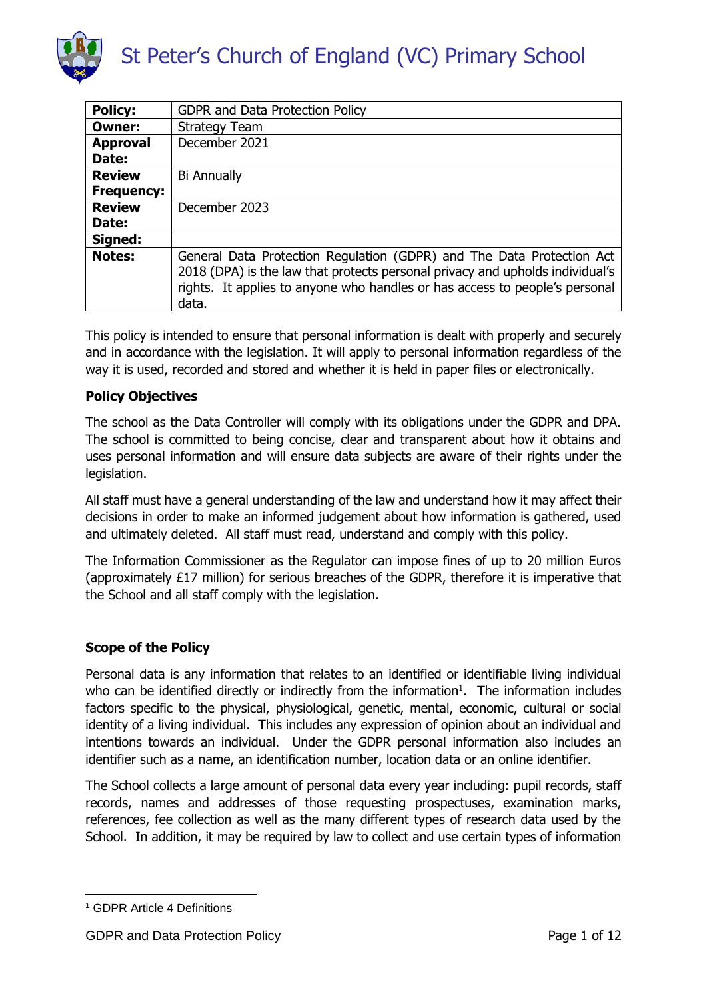

| <b>Policy:</b>    | <b>GDPR and Data Protection Policy</b>                                                                                                                                                                                                         |
|-------------------|------------------------------------------------------------------------------------------------------------------------------------------------------------------------------------------------------------------------------------------------|
| Owner:            | <b>Strategy Team</b>                                                                                                                                                                                                                           |
| <b>Approval</b>   | December 2021                                                                                                                                                                                                                                  |
| Date:             |                                                                                                                                                                                                                                                |
| <b>Review</b>     | <b>Bi Annually</b>                                                                                                                                                                                                                             |
| <b>Frequency:</b> |                                                                                                                                                                                                                                                |
| <b>Review</b>     | December 2023                                                                                                                                                                                                                                  |
| Date:             |                                                                                                                                                                                                                                                |
| Signed:           |                                                                                                                                                                                                                                                |
| <b>Notes:</b>     | General Data Protection Regulation (GDPR) and The Data Protection Act<br>2018 (DPA) is the law that protects personal privacy and upholds individual's<br>rights. It applies to anyone who handles or has access to people's personal<br>data. |

This policy is intended to ensure that personal information is dealt with properly and securely and in accordance with the legislation. It will apply to personal information regardless of the way it is used, recorded and stored and whether it is held in paper files or electronically.

#### **Policy Objectives**

The school as the Data Controller will comply with its obligations under the GDPR and DPA. The school is committed to being concise, clear and transparent about how it obtains and uses personal information and will ensure data subjects are aware of their rights under the legislation.

All staff must have a general understanding of the law and understand how it may affect their decisions in order to make an informed judgement about how information is gathered, used and ultimately deleted. All staff must read, understand and comply with this policy.

The Information Commissioner as the Regulator can impose fines of up to 20 million Euros (approximately £17 million) for serious breaches of the GDPR, therefore it is imperative that the School and all staff comply with the legislation.

#### **Scope of the Policy**

Personal data is any information that relates to an identified or identifiable living individual who can be identified directly or indirectly from the information<sup>1</sup>. The information includes factors specific to the physical, physiological, genetic, mental, economic, cultural or social identity of a living individual. This includes any expression of opinion about an individual and intentions towards an individual. Under the GDPR personal information also includes an identifier such as a name, an identification number, location data or an online identifier.

The School collects a large amount of personal data every year including: pupil records, staff records, names and addresses of those requesting prospectuses, examination marks, references, fee collection as well as the many different types of research data used by the School. In addition, it may be required by law to collect and use certain types of information

**<sup>.</sup>** <sup>1</sup> GDPR Article 4 Definitions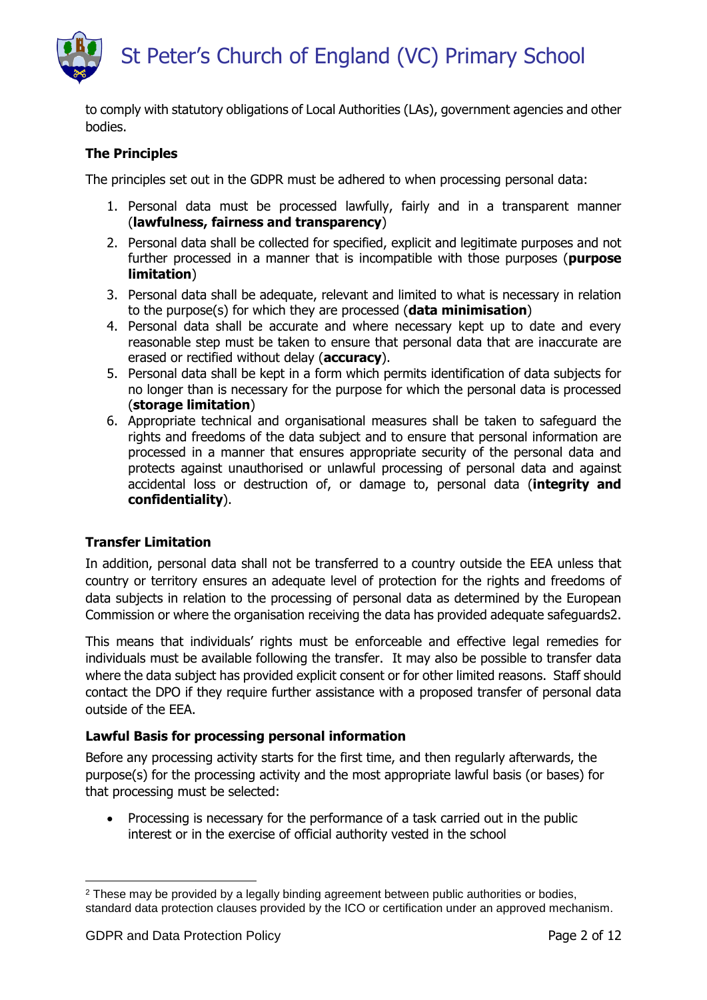to comply with statutory obligations of Local Authorities (LAs), government agencies and other bodies.

#### **The Principles**

The principles set out in the GDPR must be adhered to when processing personal data:

- 1. Personal data must be processed lawfully, fairly and in a transparent manner (**lawfulness, fairness and transparency**)
- 2. Personal data shall be collected for specified, explicit and legitimate purposes and not further processed in a manner that is incompatible with those purposes (**purpose limitation**)
- 3. Personal data shall be adequate, relevant and limited to what is necessary in relation to the purpose(s) for which they are processed (**data minimisation**)
- 4. Personal data shall be accurate and where necessary kept up to date and every reasonable step must be taken to ensure that personal data that are inaccurate are erased or rectified without delay (**accuracy**).
- 5. Personal data shall be kept in a form which permits identification of data subjects for no longer than is necessary for the purpose for which the personal data is processed (**storage limitation**)
- 6. Appropriate technical and organisational measures shall be taken to safeguard the rights and freedoms of the data subject and to ensure that personal information are processed in a manner that ensures appropriate security of the personal data and protects against unauthorised or unlawful processing of personal data and against accidental loss or destruction of, or damage to, personal data (**integrity and confidentiality**).

#### **Transfer Limitation**

In addition, personal data shall not be transferred to a country outside the EEA unless that country or territory ensures an adequate level of protection for the rights and freedoms of data subjects in relation to the processing of personal data as determined by the European Commission or where the organisation receiving the data has provided adequate safeguards2.

This means that individuals' rights must be enforceable and effective legal remedies for individuals must be available following the transfer. It may also be possible to transfer data where the data subject has provided explicit consent or for other limited reasons. Staff should contact the DPO if they require further assistance with a proposed transfer of personal data outside of the EEA.

#### **Lawful Basis for processing personal information**

Before any processing activity starts for the first time, and then regularly afterwards, the purpose(s) for the processing activity and the most appropriate lawful basis (or bases) for that processing must be selected:

• Processing is necessary for the performance of a task carried out in the public interest or in the exercise of official authority vested in the school

<sup>1</sup> <sup>2</sup> These may be provided by a legally binding agreement between public authorities or bodies, standard data protection clauses provided by the ICO or certification under an approved mechanism.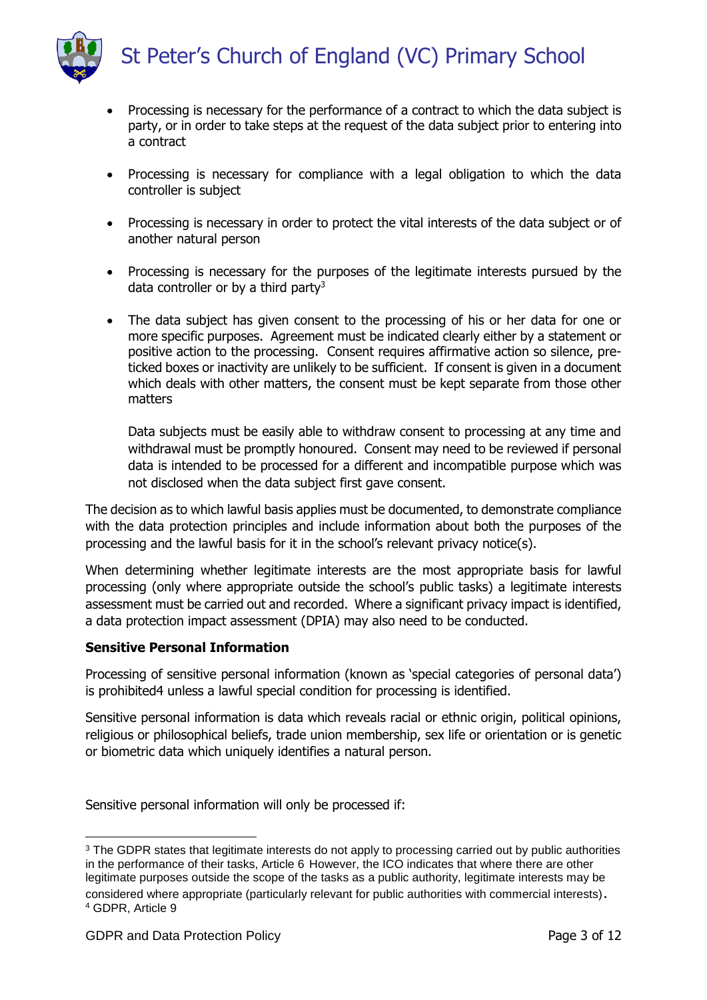

- Processing is necessary for the performance of a contract to which the data subject is party, or in order to take steps at the request of the data subject prior to entering into a contract
- Processing is necessary for compliance with a legal obligation to which the data controller is subject
- Processing is necessary in order to protect the vital interests of the data subject or of another natural person
- Processing is necessary for the purposes of the legitimate interests pursued by the data controller or by a third party<sup>3</sup>
- The data subject has given consent to the processing of his or her data for one or more specific purposes. Agreement must be indicated clearly either by a statement or positive action to the processing. Consent requires affirmative action so silence, preticked boxes or inactivity are unlikely to be sufficient. If consent is given in a document which deals with other matters, the consent must be kept separate from those other matters

Data subjects must be easily able to withdraw consent to processing at any time and withdrawal must be promptly honoured. Consent may need to be reviewed if personal data is intended to be processed for a different and incompatible purpose which was not disclosed when the data subject first gave consent.

The decision as to which lawful basis applies must be documented, to demonstrate compliance with the data protection principles and include information about both the purposes of the processing and the lawful basis for it in the school's relevant privacy notice(s).

When determining whether legitimate interests are the most appropriate basis for lawful processing (only where appropriate outside the school's public tasks) a legitimate interests assessment must be carried out and recorded. Where a significant privacy impact is identified, a data protection impact assessment (DPIA) may also need to be conducted.

#### **Sensitive Personal Information**

Processing of sensitive personal information (known as 'special categories of personal data') is prohibited4 unless a lawful special condition for processing is identified.

Sensitive personal information is data which reveals racial or ethnic origin, political opinions, religious or philosophical beliefs, trade union membership, sex life or orientation or is genetic or biometric data which uniquely identifies a natural person.

Sensitive personal information will only be processed if:

**<sup>.</sup>** <sup>3</sup> The GDPR states that legitimate interests do not apply to processing carried out by public authorities in the performance of their tasks, Article 6 However, the ICO indicates that where there are other legitimate purposes outside the scope of the tasks as a public authority, legitimate interests may be considered where appropriate (particularly relevant for public authorities with commercial interests). <sup>4</sup> GDPR, Article 9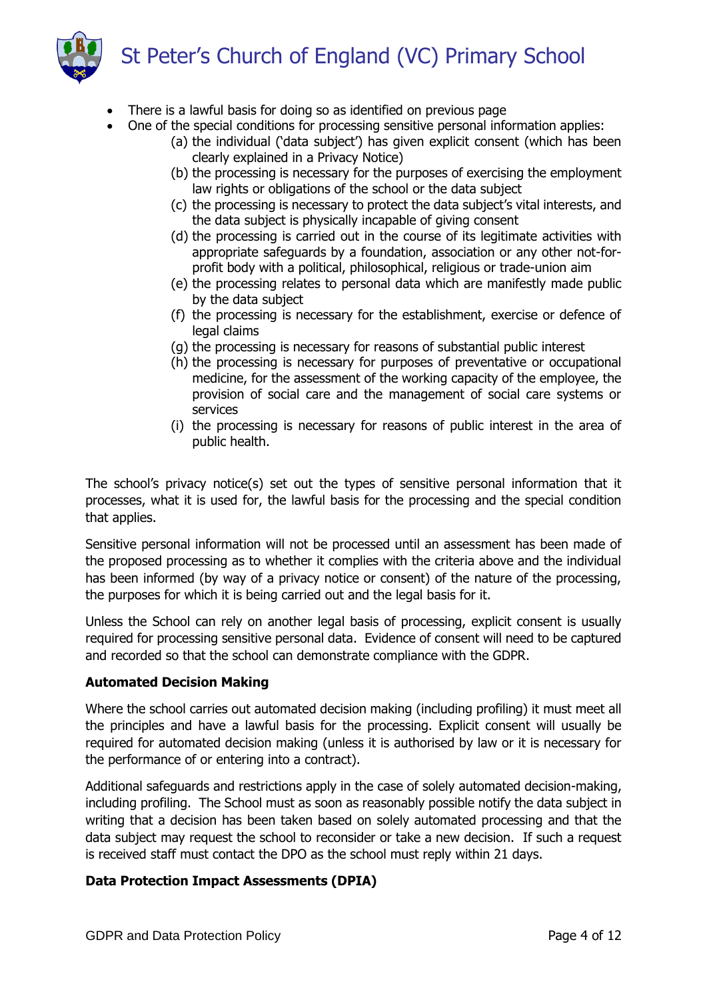

- There is a lawful basis for doing so as identified on previous page
- One of the special conditions for processing sensitive personal information applies:
	- (a) the individual ('data subject') has given explicit consent (which has been clearly explained in a Privacy Notice)
	- (b) the processing is necessary for the purposes of exercising the employment law rights or obligations of the school or the data subject
	- (c) the processing is necessary to protect the data subject's vital interests, and the data subject is physically incapable of giving consent
	- (d) the processing is carried out in the course of its legitimate activities with appropriate safeguards by a foundation, association or any other not-forprofit body with a political, philosophical, religious or trade-union aim
	- (e) the processing relates to personal data which are manifestly made public by the data subject
	- (f) the processing is necessary for the establishment, exercise or defence of legal claims
	- (g) the processing is necessary for reasons of substantial public interest
	- (h) the processing is necessary for purposes of preventative or occupational medicine, for the assessment of the working capacity of the employee, the provision of social care and the management of social care systems or services
	- (i) the processing is necessary for reasons of public interest in the area of public health.

The school's privacy notice(s) set out the types of sensitive personal information that it processes, what it is used for, the lawful basis for the processing and the special condition that applies.

Sensitive personal information will not be processed until an assessment has been made of the proposed processing as to whether it complies with the criteria above and the individual has been informed (by way of a privacy notice or consent) of the nature of the processing, the purposes for which it is being carried out and the legal basis for it.

Unless the School can rely on another legal basis of processing, explicit consent is usually required for processing sensitive personal data. Evidence of consent will need to be captured and recorded so that the school can demonstrate compliance with the GDPR.

#### **Automated Decision Making**

Where the school carries out automated decision making (including profiling) it must meet all the principles and have a lawful basis for the processing. Explicit consent will usually be required for automated decision making (unless it is authorised by law or it is necessary for the performance of or entering into a contract).

Additional safeguards and restrictions apply in the case of solely automated decision-making, including profiling. The School must as soon as reasonably possible notify the data subject in writing that a decision has been taken based on solely automated processing and that the data subject may request the school to reconsider or take a new decision. If such a request is received staff must contact the DPO as the school must reply within 21 days.

#### **Data Protection Impact Assessments (DPIA)**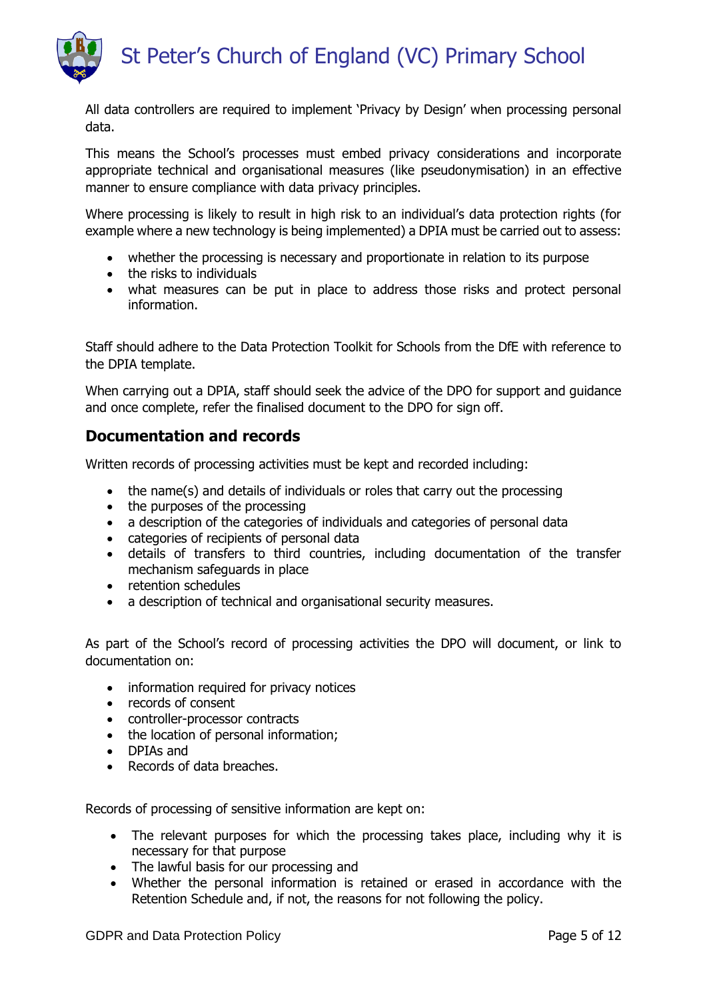

All data controllers are required to implement 'Privacy by Design' when processing personal data.

This means the School's processes must embed privacy considerations and incorporate appropriate technical and organisational measures (like pseudonymisation) in an effective manner to ensure compliance with data privacy principles.

Where processing is likely to result in high risk to an individual's data protection rights (for example where a new technology is being implemented) a DPIA must be carried out to assess:

- whether the processing is necessary and proportionate in relation to its purpose
- the risks to individuals
- what measures can be put in place to address those risks and protect personal information.

Staff should adhere to the Data Protection Toolkit for Schools from the DfE with reference to the DPIA template.

When carrying out a DPIA, staff should seek the advice of the DPO for support and guidance and once complete, refer the finalised document to the DPO for sign off.

## **Documentation and records**

Written records of processing activities must be kept and recorded including:

- the name(s) and details of individuals or roles that carry out the processing
- the purposes of the processing
- a description of the categories of individuals and categories of personal data
- categories of recipients of personal data
- details of transfers to third countries, including documentation of the transfer mechanism safeguards in place
- retention schedules
- a description of technical and organisational security measures.

As part of the School's record of processing activities the DPO will document, or link to documentation on:

- information required for privacy notices
- records of consent
- controller-processor contracts
- the location of personal information;
- DPIAs and
- Records of data breaches.

Records of processing of sensitive information are kept on:

- The relevant purposes for which the processing takes place, including why it is necessary for that purpose
- The lawful basis for our processing and
- Whether the personal information is retained or erased in accordance with the Retention Schedule and, if not, the reasons for not following the policy.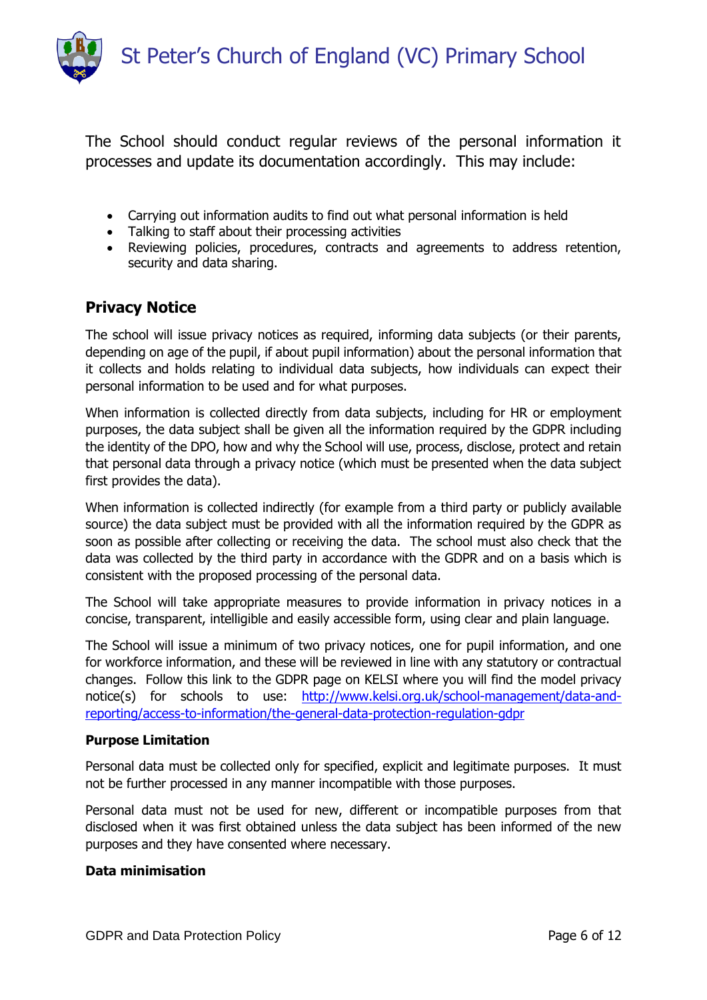

The School should conduct regular reviews of the personal information it processes and update its documentation accordingly. This may include:

- Carrying out information audits to find out what personal information is held
- Talking to staff about their processing activities
- Reviewing policies, procedures, contracts and agreements to address retention, security and data sharing.

## **Privacy Notice**

The school will issue privacy notices as required, informing data subjects (or their parents, depending on age of the pupil, if about pupil information) about the personal information that it collects and holds relating to individual data subjects, how individuals can expect their personal information to be used and for what purposes.

When information is collected directly from data subjects, including for HR or employment purposes, the data subject shall be given all the information required by the GDPR including the identity of the DPO, how and why the School will use, process, disclose, protect and retain that personal data through a privacy notice (which must be presented when the data subject first provides the data).

When information is collected indirectly (for example from a third party or publicly available source) the data subject must be provided with all the information required by the GDPR as soon as possible after collecting or receiving the data. The school must also check that the data was collected by the third party in accordance with the GDPR and on a basis which is consistent with the proposed processing of the personal data.

The School will take appropriate measures to provide information in privacy notices in a concise, transparent, intelligible and easily accessible form, using clear and plain language.

The School will issue a minimum of two privacy notices, one for pupil information, and one for workforce information, and these will be reviewed in line with any statutory or contractual changes. Follow this link to the GDPR page on KELSI where you will find the model privacy notice(s) for schools to use: [http://www.kelsi.org.uk/school-management/data-and](http://www.kelsi.org.uk/school-management/data-and-reporting/access-to-information/the-general-data-protection-regulation-gdpr)[reporting/access-to-information/the-general-data-protection-regulation-gdpr](http://www.kelsi.org.uk/school-management/data-and-reporting/access-to-information/the-general-data-protection-regulation-gdpr)

#### **Purpose Limitation**

Personal data must be collected only for specified, explicit and legitimate purposes. It must not be further processed in any manner incompatible with those purposes.

Personal data must not be used for new, different or incompatible purposes from that disclosed when it was first obtained unless the data subject has been informed of the new purposes and they have consented where necessary.

#### **Data minimisation**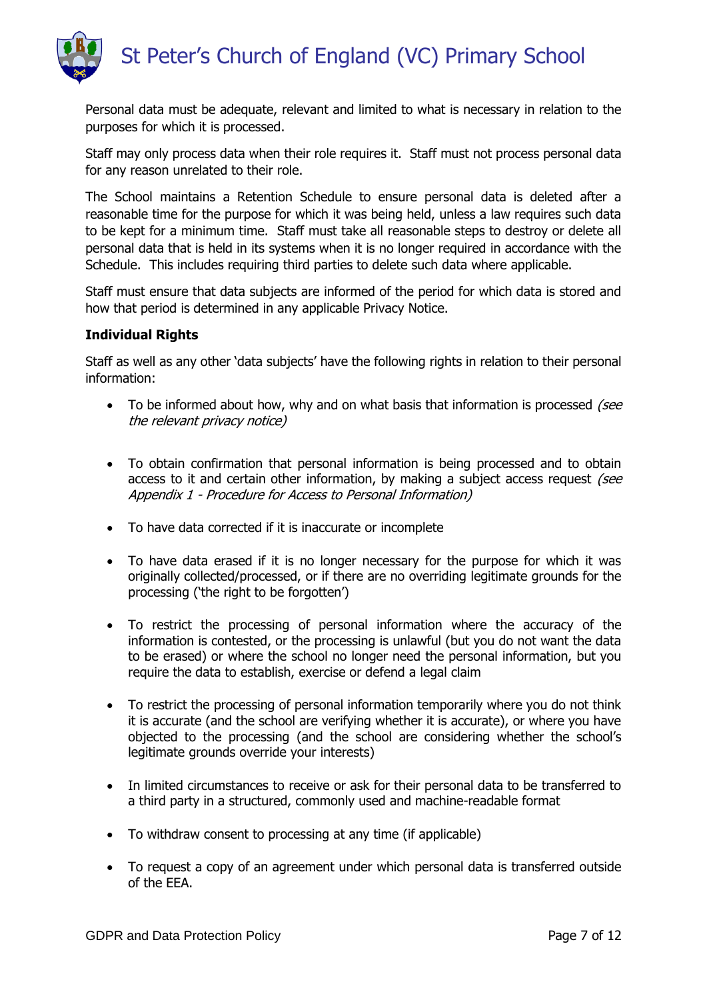

Personal data must be adequate, relevant and limited to what is necessary in relation to the purposes for which it is processed.

Staff may only process data when their role requires it. Staff must not process personal data for any reason unrelated to their role.

The School maintains a Retention Schedule to ensure personal data is deleted after a reasonable time for the purpose for which it was being held, unless a law requires such data to be kept for a minimum time. Staff must take all reasonable steps to destroy or delete all personal data that is held in its systems when it is no longer required in accordance with the Schedule. This includes requiring third parties to delete such data where applicable.

Staff must ensure that data subjects are informed of the period for which data is stored and how that period is determined in any applicable Privacy Notice.

#### **Individual Rights**

Staff as well as any other 'data subjects' have the following rights in relation to their personal information:

- $\bullet$  To be informed about how, why and on what basis that information is processed *(see*) the relevant privacy notice)
- To obtain confirmation that personal information is being processed and to obtain access to it and certain other information, by making a subject access request *(see*) Appendix 1 - Procedure for Access to Personal Information)
- To have data corrected if it is inaccurate or incomplete
- To have data erased if it is no longer necessary for the purpose for which it was originally collected/processed, or if there are no overriding legitimate grounds for the processing ('the right to be forgotten')
- To restrict the processing of personal information where the accuracy of the information is contested, or the processing is unlawful (but you do not want the data to be erased) or where the school no longer need the personal information, but you require the data to establish, exercise or defend a legal claim
- To restrict the processing of personal information temporarily where you do not think it is accurate (and the school are verifying whether it is accurate), or where you have objected to the processing (and the school are considering whether the school's legitimate grounds override your interests)
- In limited circumstances to receive or ask for their personal data to be transferred to a third party in a structured, commonly used and machine-readable format
- To withdraw consent to processing at any time (if applicable)
- To request a copy of an agreement under which personal data is transferred outside of the EEA.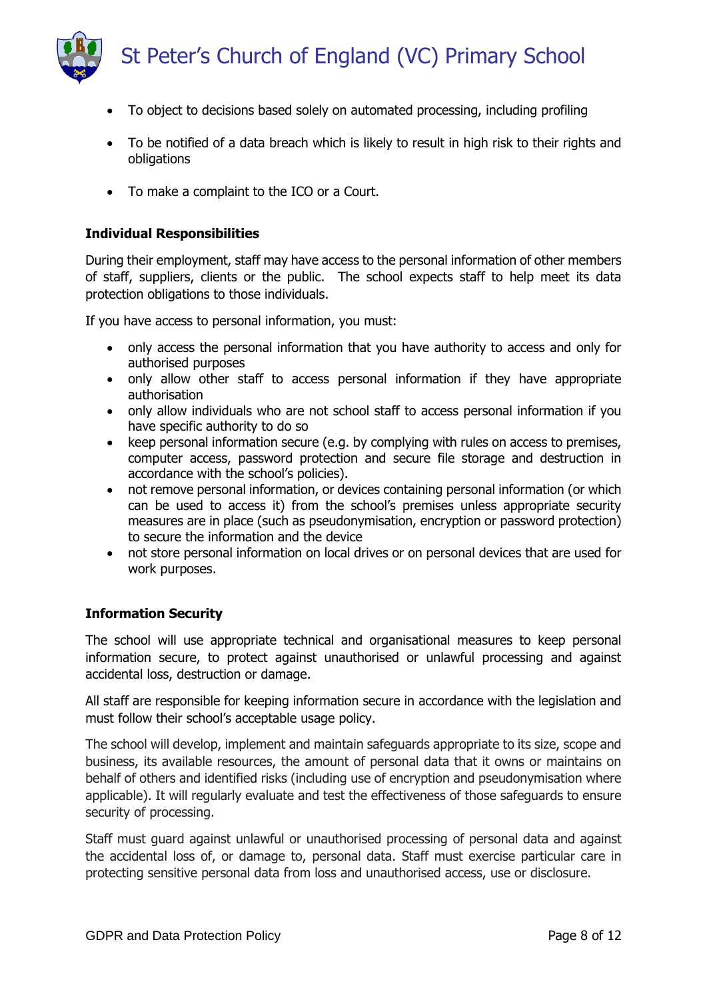

- - To object to decisions based solely on automated processing, including profiling
	- To be notified of a data breach which is likely to result in high risk to their rights and obligations
	- To make a complaint to the ICO or a Court.

#### **Individual Responsibilities**

During their employment, staff may have access to the personal information of other members of staff, suppliers, clients or the public. The school expects staff to help meet its data protection obligations to those individuals.

If you have access to personal information, you must:

- only access the personal information that you have authority to access and only for authorised purposes
- only allow other staff to access personal information if they have appropriate authorisation
- only allow individuals who are not school staff to access personal information if you have specific authority to do so
- keep personal information secure (e.g. by complying with rules on access to premises, computer access, password protection and secure file storage and destruction in accordance with the school's policies).
- not remove personal information, or devices containing personal information (or which can be used to access it) from the school's premises unless appropriate security measures are in place (such as pseudonymisation, encryption or password protection) to secure the information and the device
- not store personal information on local drives or on personal devices that are used for work purposes.

#### **Information Security**

The school will use appropriate technical and organisational measures to keep personal information secure, to protect against unauthorised or unlawful processing and against accidental loss, destruction or damage.

All staff are responsible for keeping information secure in accordance with the legislation and must follow their school's acceptable usage policy.

The school will develop, implement and maintain safeguards appropriate to its size, scope and business, its available resources, the amount of personal data that it owns or maintains on behalf of others and identified risks (including use of encryption and pseudonymisation where applicable). It will regularly evaluate and test the effectiveness of those safeguards to ensure security of processing.

Staff must guard against unlawful or unauthorised processing of personal data and against the accidental loss of, or damage to, personal data. Staff must exercise particular care in protecting sensitive personal data from loss and unauthorised access, use or disclosure.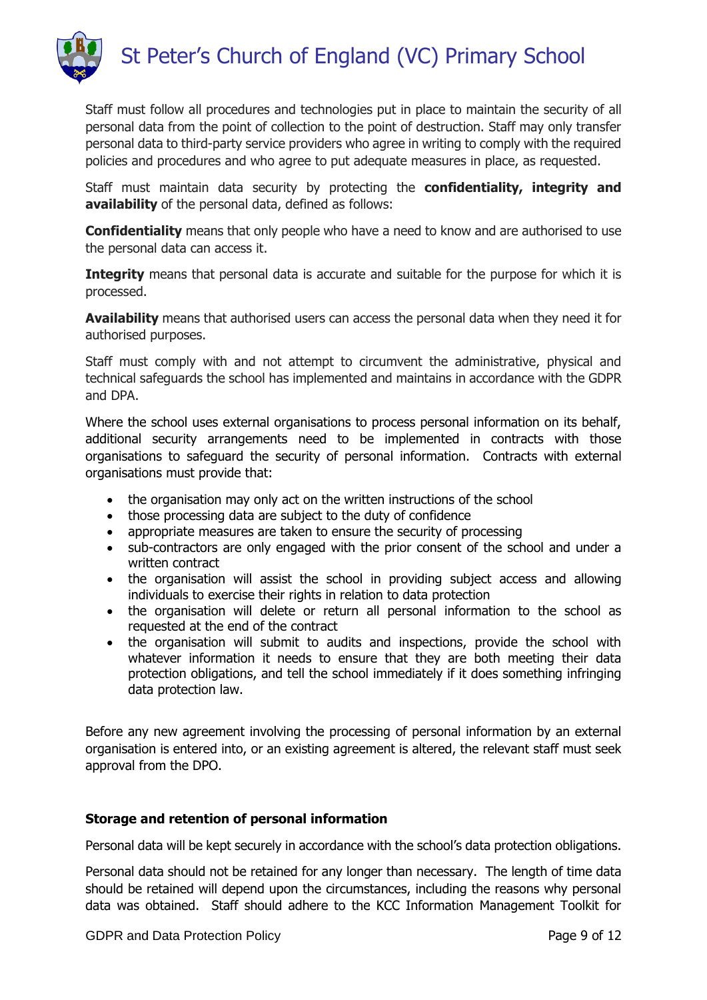

Staff must follow all procedures and technologies put in place to maintain the security of all personal data from the point of collection to the point of destruction. Staff may only transfer personal data to third-party service providers who agree in writing to comply with the required policies and procedures and who agree to put adequate measures in place, as requested.

Staff must maintain data security by protecting the **confidentiality, integrity and availability** of the personal data, defined as follows:

**Confidentiality** means that only people who have a need to know and are authorised to use the personal data can access it.

**Integrity** means that personal data is accurate and suitable for the purpose for which it is processed.

**Availability** means that authorised users can access the personal data when they need it for authorised purposes.

Staff must comply with and not attempt to circumvent the administrative, physical and technical safeguards the school has implemented and maintains in accordance with the GDPR and DPA.

Where the school uses external organisations to process personal information on its behalf, additional security arrangements need to be implemented in contracts with those organisations to safeguard the security of personal information. Contracts with external organisations must provide that:

- the organisation may only act on the written instructions of the school
- those processing data are subject to the duty of confidence
- appropriate measures are taken to ensure the security of processing
- sub-contractors are only engaged with the prior consent of the school and under a written contract
- the organisation will assist the school in providing subject access and allowing individuals to exercise their rights in relation to data protection
- the organisation will delete or return all personal information to the school as requested at the end of the contract
- the organisation will submit to audits and inspections, provide the school with whatever information it needs to ensure that they are both meeting their data protection obligations, and tell the school immediately if it does something infringing data protection law.

Before any new agreement involving the processing of personal information by an external organisation is entered into, or an existing agreement is altered, the relevant staff must seek approval from the DPO.

#### **Storage and retention of personal information**

Personal data will be kept securely in accordance with the school's data protection obligations.

Personal data should not be retained for any longer than necessary. The length of time data should be retained will depend upon the circumstances, including the reasons why personal data was obtained. Staff should adhere to the KCC Information Management Toolkit for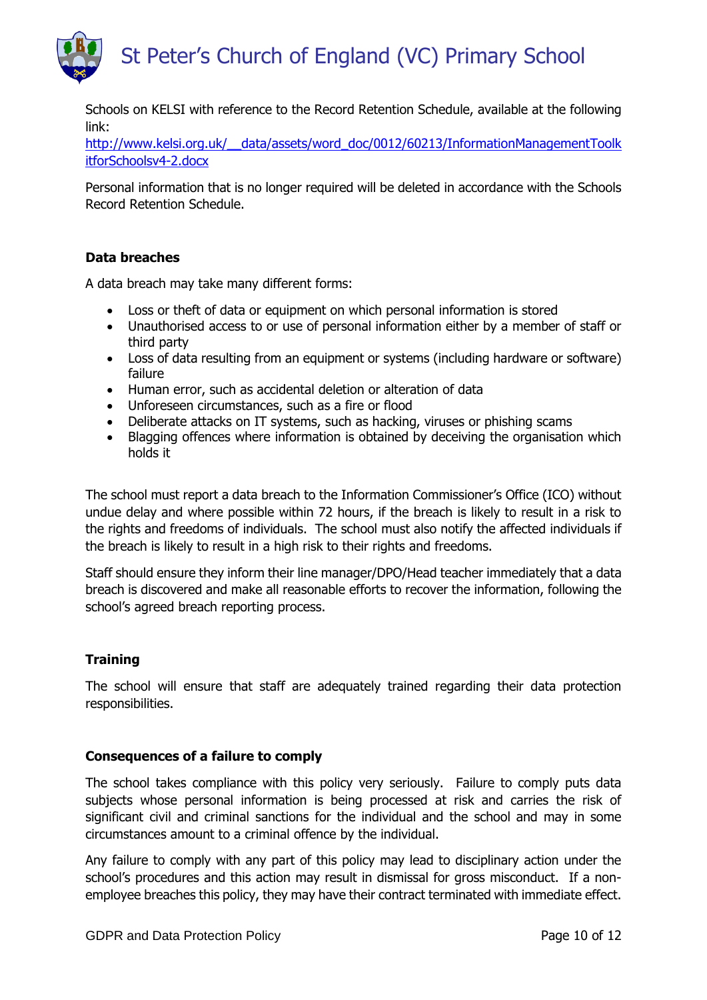

[http://www.kelsi.org.uk/\\_\\_data/assets/word\\_doc/0012/60213/InformationManagementToolk](http://www.kelsi.org.uk/__data/assets/word_doc/0012/60213/InformationManagementToolkitforSchoolsv4-2.docx) [itforSchoolsv4-2.docx](http://www.kelsi.org.uk/__data/assets/word_doc/0012/60213/InformationManagementToolkitforSchoolsv4-2.docx)

Personal information that is no longer required will be deleted in accordance with the Schools Record Retention Schedule.

#### **Data breaches**

A data breach may take many different forms:

- Loss or theft of data or equipment on which personal information is stored
- Unauthorised access to or use of personal information either by a member of staff or third party
- Loss of data resulting from an equipment or systems (including hardware or software) failure
- Human error, such as accidental deletion or alteration of data
- Unforeseen circumstances, such as a fire or flood
- Deliberate attacks on IT systems, such as hacking, viruses or phishing scams
- Blagging offences where information is obtained by deceiving the organisation which holds it

The school must report a data breach to the Information Commissioner's Office (ICO) without undue delay and where possible within 72 hours, if the breach is likely to result in a risk to the rights and freedoms of individuals. The school must also notify the affected individuals if the breach is likely to result in a high risk to their rights and freedoms.

Staff should ensure they inform their line manager/DPO/Head teacher immediately that a data breach is discovered and make all reasonable efforts to recover the information, following the school's agreed breach reporting process.

#### **Training**

The school will ensure that staff are adequately trained regarding their data protection responsibilities.

#### **Consequences of a failure to comply**

The school takes compliance with this policy very seriously. Failure to comply puts data subjects whose personal information is being processed at risk and carries the risk of significant civil and criminal sanctions for the individual and the school and may in some circumstances amount to a criminal offence by the individual.

Any failure to comply with any part of this policy may lead to disciplinary action under the school's procedures and this action may result in dismissal for gross misconduct. If a nonemployee breaches this policy, they may have their contract terminated with immediate effect.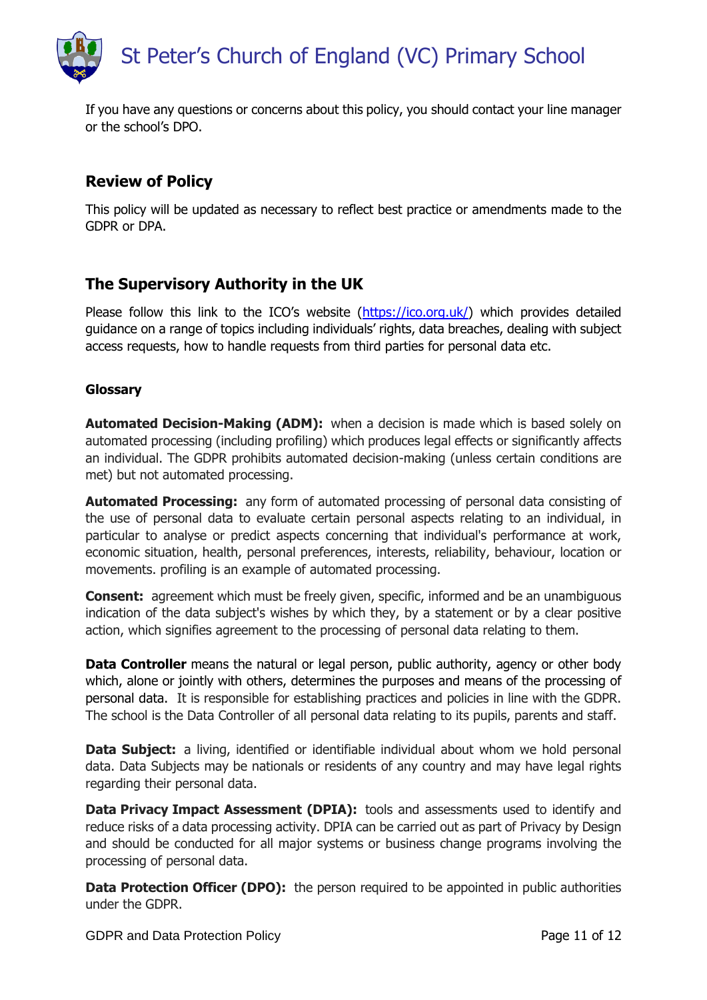

If you have any questions or concerns about this policy, you should contact your line manager or the school's DPO.

# **Review of Policy**

This policy will be updated as necessary to reflect best practice or amendments made to the GDPR or DPA.

# **The Supervisory Authority in the UK**

Please follow this link to the ICO's website ([https://ico.org.uk/\)](https://ico.org.uk/) which provides detailed guidance on a range of topics including individuals' rights, data breaches, dealing with subject access requests, how to handle requests from third parties for personal data etc.

#### **Glossary**

**Automated Decision-Making (ADM):** when a decision is made which is based solely on automated processing (including profiling) which produces legal effects or significantly affects an individual. The GDPR prohibits automated decision-making (unless certain conditions are met) but not automated processing.

**Automated Processing:** any form of automated processing of personal data consisting of the use of personal data to evaluate certain personal aspects relating to an individual, in particular to analyse or predict aspects concerning that individual's performance at work, economic situation, health, personal preferences, interests, reliability, behaviour, location or movements. profiling is an example of automated processing.

**Consent:** agreement which must be freely given, specific, informed and be an unambiguous indication of the data subject's wishes by which they, by a statement or by a clear positive action, which signifies agreement to the processing of personal data relating to them.

**Data Controller** means the natural or legal person, public authority, agency or other body which, alone or jointly with others, determines the purposes and means of the processing of personal data. It is responsible for establishing practices and policies in line with the GDPR. The school is the Data Controller of all personal data relating to its pupils, parents and staff.

**Data Subject:** a living, identified or identifiable individual about whom we hold personal data. Data Subjects may be nationals or residents of any country and may have legal rights regarding their personal data.

**Data Privacy Impact Assessment (DPIA):** tools and assessments used to identify and reduce risks of a data processing activity. DPIA can be carried out as part of Privacy by Design and should be conducted for all major systems or business change programs involving the processing of personal data.

**Data Protection Officer (DPO):** the person required to be appointed in public authorities under the GDPR.